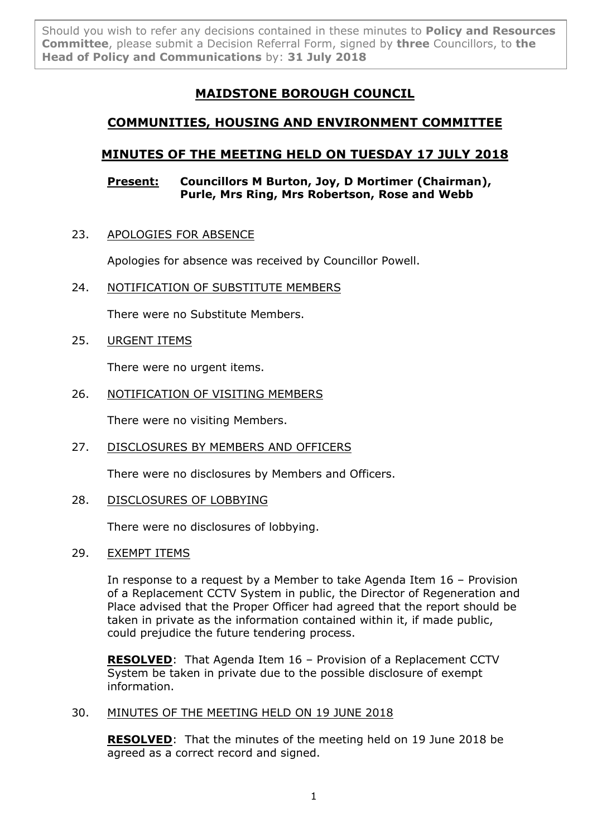Should you wish to refer any decisions contained in these minutes to **Policy and Resources Committee**, please submit a Decision Referral Form, signed by **three** Councillors, to **the Head of Policy and Communications** by: **31 July 2018**

# **MAIDSTONE BOROUGH COUNCIL**

# **COMMUNITIES, HOUSING AND ENVIRONMENT COMMITTEE**

# **MINUTES OF THE MEETING HELD ON TUESDAY 17 JULY 2018**

## **Present: Councillors M Burton, Joy, D Mortimer (Chairman), Purle, Mrs Ring, Mrs Robertson, Rose and Webb**

23. APOLOGIES FOR ABSENCE

Apologies for absence was received by Councillor Powell.

24. NOTIFICATION OF SUBSTITUTE MEMBERS

There were no Substitute Members.

25. URGENT ITEMS

There were no urgent items.

26. NOTIFICATION OF VISITING MEMBERS

There were no visiting Members.

27. DISCLOSURES BY MEMBERS AND OFFICERS

There were no disclosures by Members and Officers.

28. DISCLOSURES OF LOBBYING

There were no disclosures of lobbying.

## 29. EXEMPT ITEMS

In response to a request by a Member to take Agenda Item 16 – Provision of a Replacement CCTV System in public, the Director of Regeneration and Place advised that the Proper Officer had agreed that the report should be taken in private as the information contained within it, if made public, could prejudice the future tendering process.

**RESOLVED**: That Agenda Item 16 – Provision of a Replacement CCTV System be taken in private due to the possible disclosure of exempt information.

### 30. MINUTES OF THE MEETING HELD ON 19 JUNE 2018

**RESOLVED**: That the minutes of the meeting held on 19 June 2018 be agreed as a correct record and signed.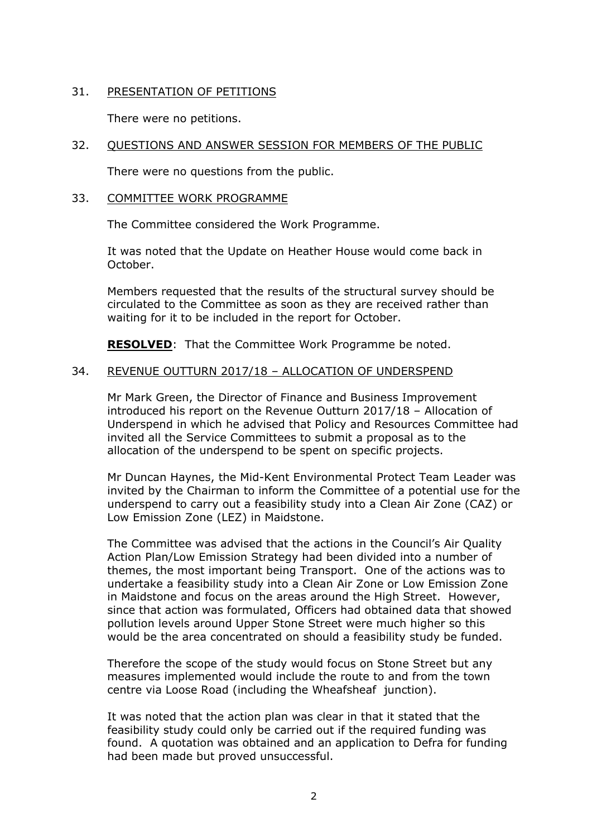# 31. PRESENTATION OF PETITIONS

There were no petitions.

# 32. QUESTIONS AND ANSWER SESSION FOR MEMBERS OF THE PUBLIC

There were no questions from the public.

#### 33. COMMITTEE WORK PROGRAMME

The Committee considered the Work Programme.

It was noted that the Update on Heather House would come back in October.

Members requested that the results of the structural survey should be circulated to the Committee as soon as they are received rather than waiting for it to be included in the report for October.

**RESOLVED**: That the Committee Work Programme be noted.

# 34. REVENUE OUTTURN 2017/18 – ALLOCATION OF UNDERSPEND

Mr Mark Green, the Director of Finance and Business Improvement introduced his report on the Revenue Outturn 2017/18 – Allocation of Underspend in which he advised that Policy and Resources Committee had invited all the Service Committees to submit a proposal as to the allocation of the underspend to be spent on specific projects.

Mr Duncan Haynes, the Mid-Kent Environmental Protect Team Leader was invited by the Chairman to inform the Committee of a potential use for the underspend to carry out a feasibility study into a Clean Air Zone (CAZ) or Low Emission Zone (LEZ) in Maidstone.

The Committee was advised that the actions in the Council's Air Quality Action Plan/Low Emission Strategy had been divided into a number of themes, the most important being Transport. One of the actions was to undertake a feasibility study into a Clean Air Zone or Low Emission Zone in Maidstone and focus on the areas around the High Street. However, since that action was formulated, Officers had obtained data that showed pollution levels around Upper Stone Street were much higher so this would be the area concentrated on should a feasibility study be funded.

Therefore the scope of the study would focus on Stone Street but any measures implemented would include the route to and from the town centre via Loose Road (including the Wheafsheaf junction).

It was noted that the action plan was clear in that it stated that the feasibility study could only be carried out if the required funding was found. A quotation was obtained and an application to Defra for funding had been made but proved unsuccessful.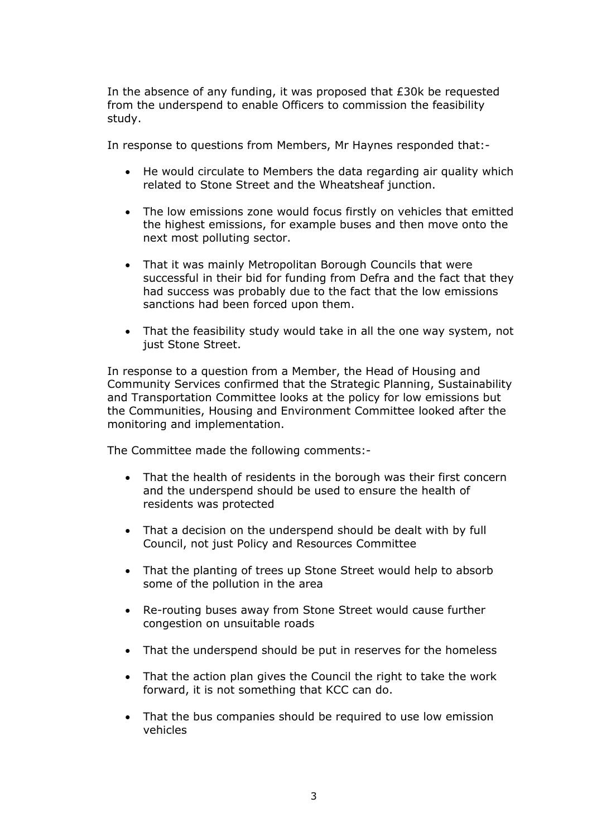In the absence of any funding, it was proposed that £30k be requested from the underspend to enable Officers to commission the feasibility study.

In response to questions from Members, Mr Haynes responded that:-

- He would circulate to Members the data regarding air quality which related to Stone Street and the Wheatsheaf junction.
- The low emissions zone would focus firstly on vehicles that emitted the highest emissions, for example buses and then move onto the next most polluting sector.
- That it was mainly Metropolitan Borough Councils that were successful in their bid for funding from Defra and the fact that they had success was probably due to the fact that the low emissions sanctions had been forced upon them.
- That the feasibility study would take in all the one way system, not just Stone Street.

In response to a question from a Member, the Head of Housing and Community Services confirmed that the Strategic Planning, Sustainability and Transportation Committee looks at the policy for low emissions but the Communities, Housing and Environment Committee looked after the monitoring and implementation.

The Committee made the following comments:-

- That the health of residents in the borough was their first concern and the underspend should be used to ensure the health of residents was protected
- That a decision on the underspend should be dealt with by full Council, not just Policy and Resources Committee
- That the planting of trees up Stone Street would help to absorb some of the pollution in the area
- Re-routing buses away from Stone Street would cause further congestion on unsuitable roads
- That the underspend should be put in reserves for the homeless
- That the action plan gives the Council the right to take the work forward, it is not something that KCC can do.
- That the bus companies should be required to use low emission vehicles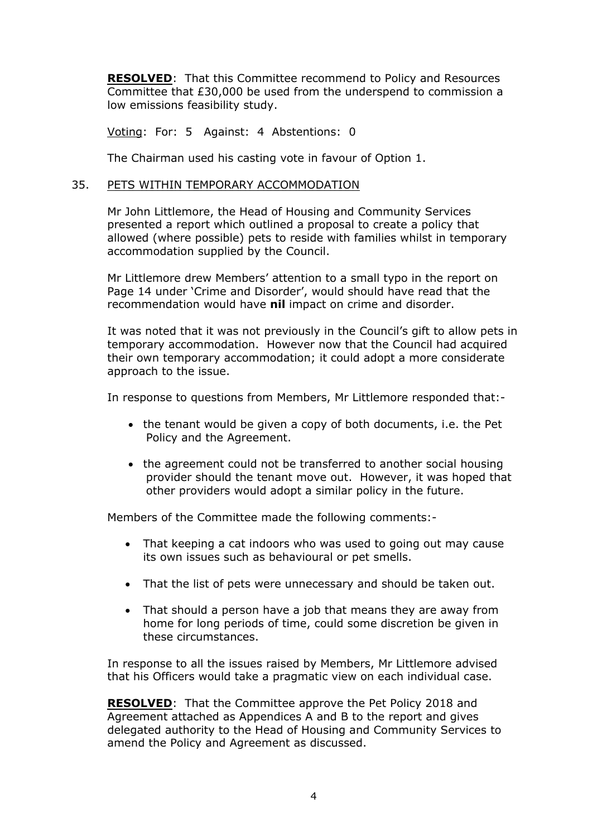**RESOLVED**: That this Committee recommend to Policy and Resources Committee that £30,000 be used from the underspend to commission a low emissions feasibility study.

Voting: For: 5 Against: 4 Abstentions: 0

The Chairman used his casting vote in favour of Option 1.

## 35. PETS WITHIN TEMPORARY ACCOMMODATION

Mr John Littlemore, the Head of Housing and Community Services presented a report which outlined a proposal to create a policy that allowed (where possible) pets to reside with families whilst in temporary accommodation supplied by the Council.

Mr Littlemore drew Members' attention to a small typo in the report on Page 14 under 'Crime and Disorder', would should have read that the recommendation would have **nil** impact on crime and disorder.

It was noted that it was not previously in the Council's gift to allow pets in temporary accommodation. However now that the Council had acquired their own temporary accommodation; it could adopt a more considerate approach to the issue.

In response to questions from Members, Mr Littlemore responded that:-

- the tenant would be given a copy of both documents, i.e. the Pet Policy and the Agreement.
- the agreement could not be transferred to another social housing provider should the tenant move out. However, it was hoped that other providers would adopt a similar policy in the future.

Members of the Committee made the following comments:-

- That keeping a cat indoors who was used to going out may cause its own issues such as behavioural or pet smells.
- That the list of pets were unnecessary and should be taken out.
- That should a person have a job that means they are away from home for long periods of time, could some discretion be given in these circumstances.

In response to all the issues raised by Members, Mr Littlemore advised that his Officers would take a pragmatic view on each individual case.

**RESOLVED**: That the Committee approve the Pet Policy 2018 and Agreement attached as Appendices A and B to the report and gives delegated authority to the Head of Housing and Community Services to amend the Policy and Agreement as discussed.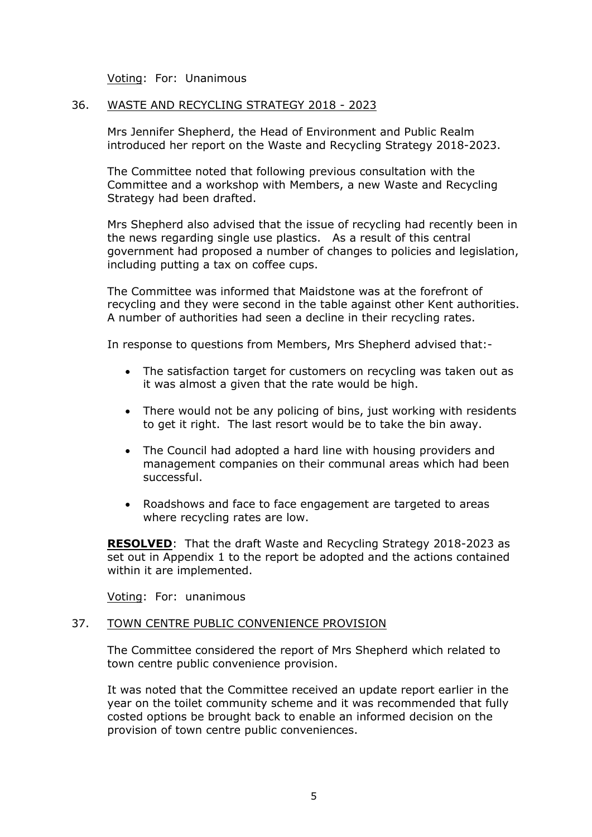Voting: For: Unanimous

#### 36. WASTE AND RECYCLING STRATEGY 2018 - 2023

Mrs Jennifer Shepherd, the Head of Environment and Public Realm introduced her report on the Waste and Recycling Strategy 2018-2023.

The Committee noted that following previous consultation with the Committee and a workshop with Members, a new Waste and Recycling Strategy had been drafted.

Mrs Shepherd also advised that the issue of recycling had recently been in the news regarding single use plastics. As a result of this central government had proposed a number of changes to policies and legislation, including putting a tax on coffee cups.

The Committee was informed that Maidstone was at the forefront of recycling and they were second in the table against other Kent authorities. A number of authorities had seen a decline in their recycling rates.

In response to questions from Members, Mrs Shepherd advised that:-

- The satisfaction target for customers on recycling was taken out as it was almost a given that the rate would be high.
- There would not be any policing of bins, just working with residents to get it right. The last resort would be to take the bin away.
- The Council had adopted a hard line with housing providers and management companies on their communal areas which had been successful.
- Roadshows and face to face engagement are targeted to areas where recycling rates are low.

**RESOLVED**: That the draft Waste and Recycling Strategy 2018-2023 as set out in Appendix 1 to the report be adopted and the actions contained within it are implemented.

Voting: For: unanimous

#### 37. TOWN CENTRE PUBLIC CONVENIENCE PROVISION

The Committee considered the report of Mrs Shepherd which related to town centre public convenience provision.

It was noted that the Committee received an update report earlier in the year on the toilet community scheme and it was recommended that fully costed options be brought back to enable an informed decision on the provision of town centre public conveniences.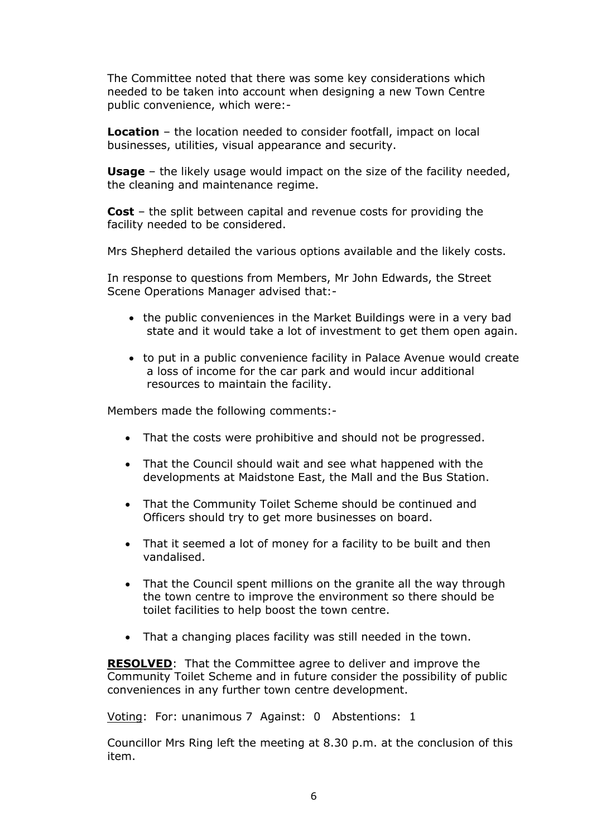The Committee noted that there was some key considerations which needed to be taken into account when designing a new Town Centre public convenience, which were:-

**Location** – the location needed to consider footfall, impact on local businesses, utilities, visual appearance and security.

**Usage** – the likely usage would impact on the size of the facility needed, the cleaning and maintenance regime.

**Cost** – the split between capital and revenue costs for providing the facility needed to be considered.

Mrs Shepherd detailed the various options available and the likely costs.

In response to questions from Members, Mr John Edwards, the Street Scene Operations Manager advised that:-

- the public conveniences in the Market Buildings were in a very bad state and it would take a lot of investment to get them open again.
- to put in a public convenience facility in Palace Avenue would create a loss of income for the car park and would incur additional resources to maintain the facility.

Members made the following comments:-

- That the costs were prohibitive and should not be progressed.
- That the Council should wait and see what happened with the developments at Maidstone East, the Mall and the Bus Station.
- That the Community Toilet Scheme should be continued and Officers should try to get more businesses on board.
- That it seemed a lot of money for a facility to be built and then vandalised.
- That the Council spent millions on the granite all the way through the town centre to improve the environment so there should be toilet facilities to help boost the town centre.
- That a changing places facility was still needed in the town.

**RESOLVED**: That the Committee agree to deliver and improve the Community Toilet Scheme and in future consider the possibility of public conveniences in any further town centre development.

Voting: For: unanimous 7 Against: 0 Abstentions: 1

Councillor Mrs Ring left the meeting at 8.30 p.m. at the conclusion of this item.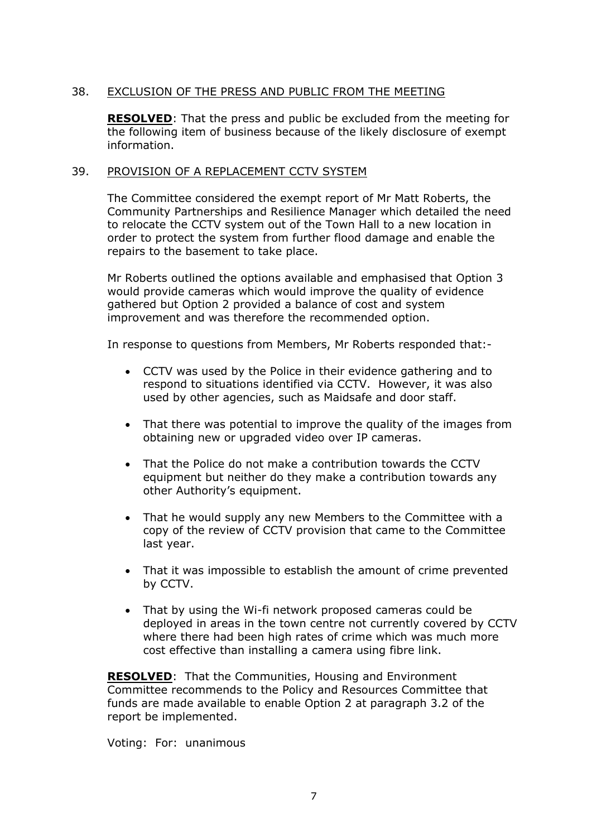# 38. EXCLUSION OF THE PRESS AND PUBLIC FROM THE MEETING

**RESOLVED**: That the press and public be excluded from the meeting for the following item of business because of the likely disclosure of exempt information.

#### 39. PROVISION OF A REPLACEMENT CCTV SYSTEM

The Committee considered the exempt report of Mr Matt Roberts, the Community Partnerships and Resilience Manager which detailed the need to relocate the CCTV system out of the Town Hall to a new location in order to protect the system from further flood damage and enable the repairs to the basement to take place.

Mr Roberts outlined the options available and emphasised that Option 3 would provide cameras which would improve the quality of evidence gathered but Option 2 provided a balance of cost and system improvement and was therefore the recommended option.

In response to questions from Members, Mr Roberts responded that:-

- CCTV was used by the Police in their evidence gathering and to respond to situations identified via CCTV. However, it was also used by other agencies, such as Maidsafe and door staff.
- That there was potential to improve the quality of the images from obtaining new or upgraded video over IP cameras.
- That the Police do not make a contribution towards the CCTV equipment but neither do they make a contribution towards any other Authority's equipment.
- That he would supply any new Members to the Committee with a copy of the review of CCTV provision that came to the Committee last year.
- That it was impossible to establish the amount of crime prevented by CCTV.
- That by using the Wi-fi network proposed cameras could be deployed in areas in the town centre not currently covered by CCTV where there had been high rates of crime which was much more cost effective than installing a camera using fibre link.

**RESOLVED**: That the Communities, Housing and Environment Committee recommends to the Policy and Resources Committee that funds are made available to enable Option 2 at paragraph 3.2 of the report be implemented.

Voting: For: unanimous